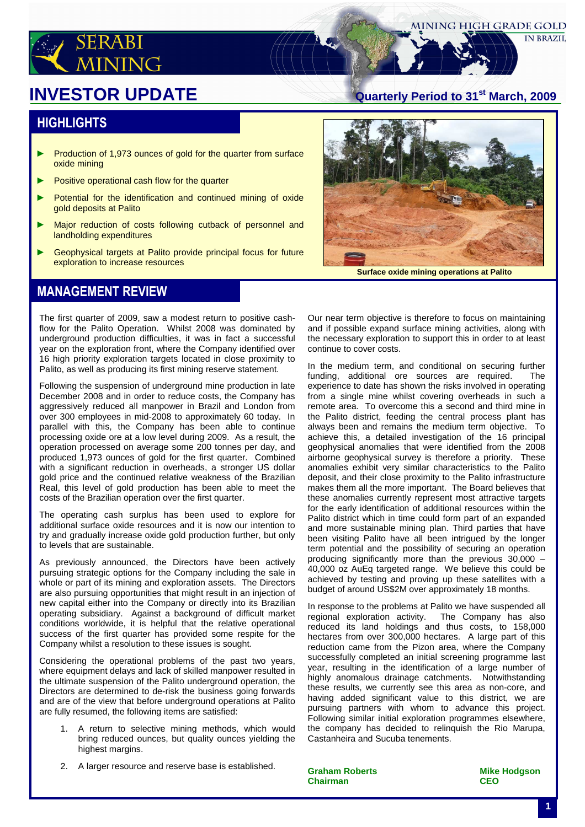

**IN BRAZIL** 

# **INVESTOR UPDATE**

#### **HIGHLIGHTS**

- ► Production of 1,973 ounces of gold for the quarter from surface oxide mining
- ► Positive operational cash flow for the quarter
- Potential for the identification and continued mining of oxide gold deposits at Palito
- ► Major reduction of costs following cutback of personnel and landholding expenditures
- Geophysical targets at Palito provide principal focus for future exploration to increase resources



**Surface oxide mining operations at Palito**

#### MANAGEMENT REVIEW

The first quarter of 2009, saw a modest return to positive cashflow for the Palito Operation. Whilst 2008 was dominated by underground production difficulties, it was in fact a successful year on the exploration front, where the Company identified over 16 high priority exploration targets located in close proximity to Palito, as well as producing its first mining reserve statement.

Following the suspension of underground mine production in late December 2008 and in order to reduce costs, the Company has aggressively reduced all manpower in Brazil and London from over 300 employees in mid-2008 to approximately 60 today. In parallel with this, the Company has been able to continue processing oxide ore at a low level during 2009. As a result, the operation processed on average some 200 tonnes per day, and produced 1,973 ounces of gold for the first quarter. Combined with a significant reduction in overheads, a stronger US dollar gold price and the continued relative weakness of the Brazilian Real, this level of gold production has been able to meet the costs of the Brazilian operation over the first quarter.

The operating cash surplus has been used to explore for additional surface oxide resources and it is now our intention to try and gradually increase oxide gold production further, but only to levels that are sustainable.

As previously announced, the Directors have been actively pursuing strategic options for the Company including the sale in whole or part of its mining and exploration assets. The Directors are also pursuing opportunities that might result in an injection of new capital either into the Company or directly into its Brazilian operating subsidiary. Against a background of difficult market conditions worldwide, it is helpful that the relative operational success of the first quarter has provided some respite for the Company whilst a resolution to these issues is sought.

Considering the operational problems of the past two years, where equipment delays and lack of skilled manpower resulted in the ultimate suspension of the Palito underground operation, the Directors are determined to de-risk the business going forwards and are of the view that before underground operations at Palito are fully resumed, the following items are satisfied:

- 1. A return to selective mining methods, which would bring reduced ounces, but quality ounces yielding the highest margins.
- 2. A larger resource and reserve base is established.

Our near term objective is therefore to focus on maintaining and if possible expand surface mining activities, along with the necessary exploration to support this in order to at least continue to cover costs.

In the medium term, and conditional on securing further funding, additional ore sources are required. The experience to date has shown the risks involved in operating from a single mine whilst covering overheads in such a remote area. To overcome this a second and third mine in the Palito district, feeding the central process plant has always been and remains the medium term objective. To achieve this, a detailed investigation of the 16 principal geophysical anomalies that were identified from the 2008 airborne geophysical survey is therefore a priority. These anomalies exhibit very similar characteristics to the Palito deposit, and their close proximity to the Palito infrastructure makes them all the more important. The Board believes that these anomalies currently represent most attractive targets for the early identification of additional resources within the Palito district which in time could form part of an expanded and more sustainable mining plan. Third parties that have been visiting Palito have all been intrigued by the longer term potential and the possibility of securing an operation producing significantly more than the previous 30,000 – 40,000 oz AuEq targeted range. We believe this could be achieved by testing and proving up these satellites with a budget of around US\$2M over approximately 18 months.

In response to the problems at Palito we have suspended all regional exploration activity. The Company has also reduced its land holdings and thus costs, to 158,000 hectares from over 300,000 hectares. A large part of this reduction came from the Pizon area, where the Company successfully completed an initial screening programme last year, resulting in the identification of a large number of highly anomalous drainage catchments. Notwithstanding these results, we currently see this area as non-core, and having added significant value to this district, we are pursuing partners with whom to advance this project. Following similar initial exploration programmes elsewhere, the company has decided to relinquish the Rio Marupa, Castanheira and Sucuba tenements.

**Graham Roberts Mike Hodgson Chairman CEO**